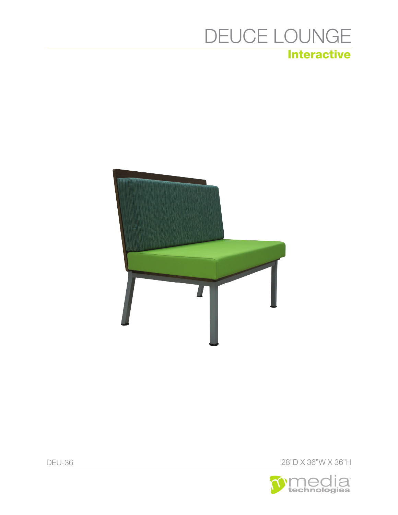# **Interactive** DEUCE LOUNGE





DEU-36 28"D X 36"W X 36"H